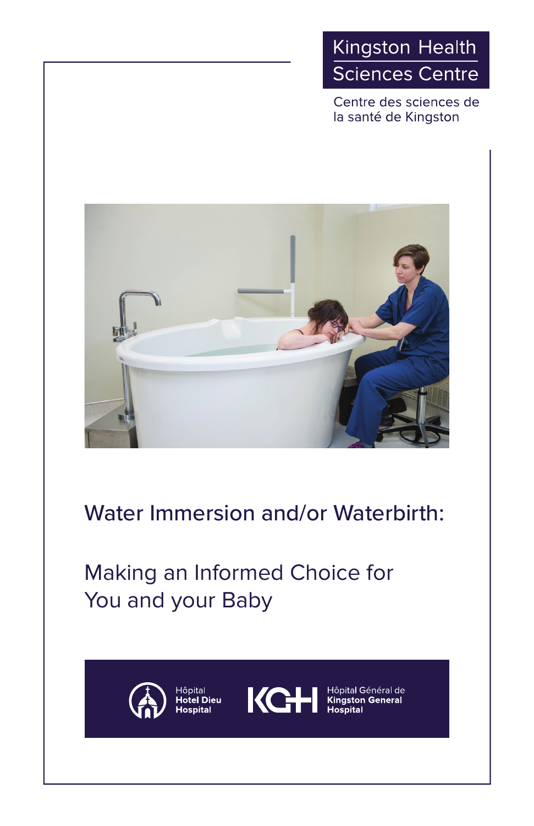# Kingston Health **Sciences Centre**

Centre des sciences de la santé de Kingston



# Water Immersion and/or Waterbirth:

# Making an Informed Choice for You and your Baby



Hôpital

**Hotel Dieu Hospital** 



Hôpital Général de<br>**Kingston General**<br>**Hospital**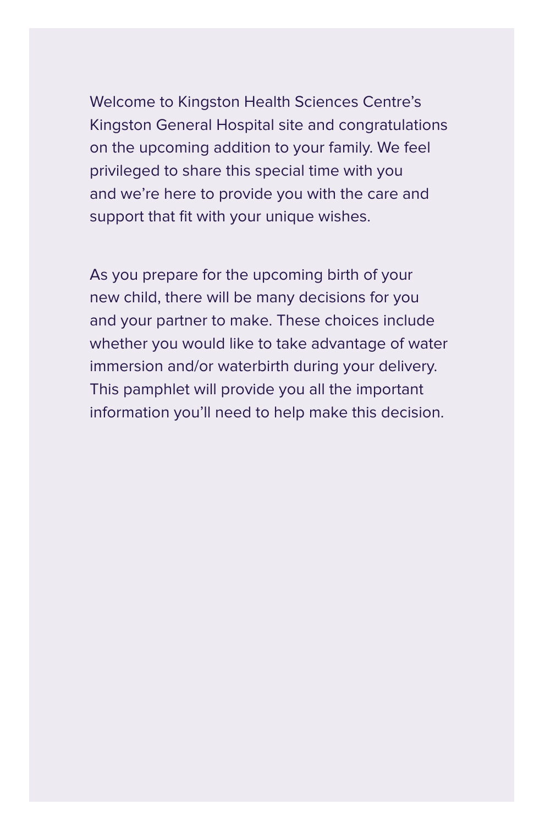Welcome to Kingston Health Sciences Centre's Kingston General Hospital site and congratulations on the upcoming addition to your family. We feel privileged to share this special time with you and we're here to provide you with the care and support that fit with your unique wishes.

As you prepare for the upcoming birth of your new child, there will be many decisions for you and your partner to make. These choices include whether you would like to take advantage of water immersion and/or waterbirth during your delivery. This pamphlet will provide you all the important information you'll need to help make this decision.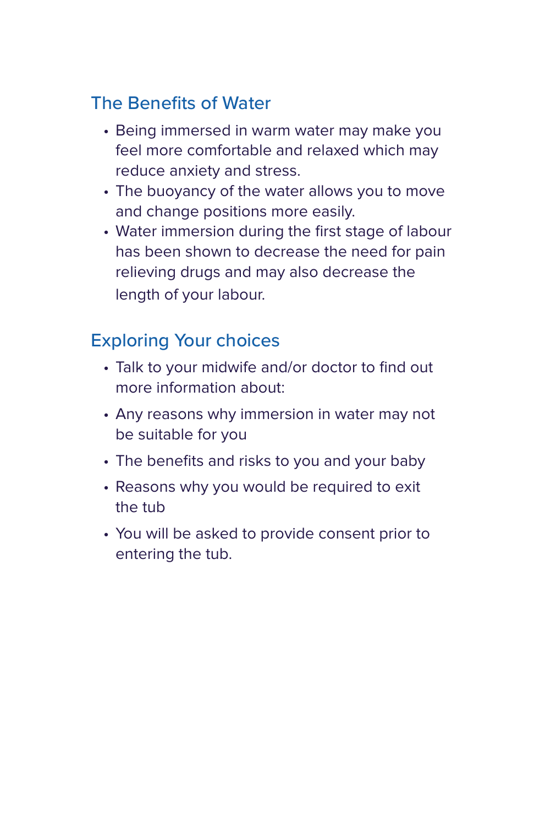## The Benefits of Water

- Being immersed in warm water may make you feel more comfortable and relaxed which may reduce anxiety and stress.
- The buoyancy of the water allows you to move and change positions more easily.
- Water immersion during the first stage of labour has been shown to decrease the need for pain relieving drugs and may also decrease the length of your labour.

## Exploring Your choices

- Talk to your midwife and/or doctor to find out more information about:
- Any reasons why immersion in water may not be suitable for you
- The benefits and risks to you and your baby
- Reasons why you would be required to exit the tub
- You will be asked to provide consent prior to entering the tub.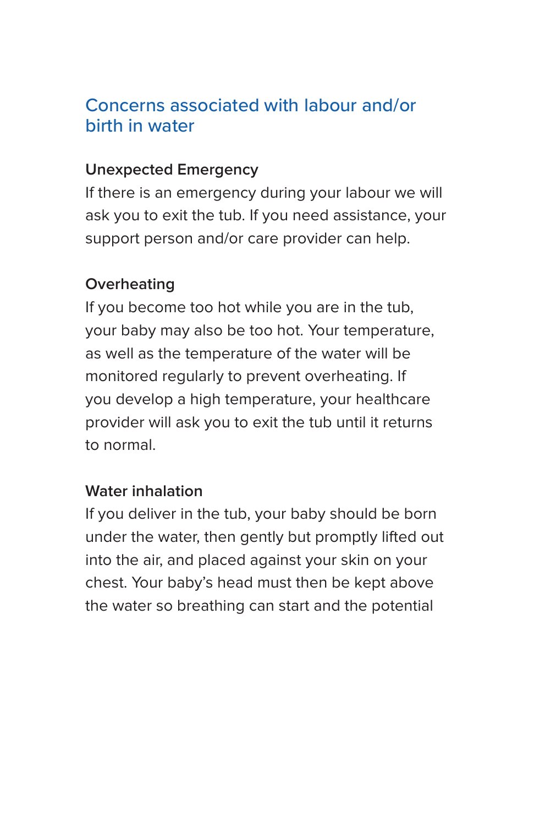### Concerns associated with labour and/or birth in water

#### **Unexpected Emergency**

If there is an emergency during your labour we will ask you to exit the tub. If you need assistance, your support person and/or care provider can help.

#### **Overheating**

If you become too hot while you are in the tub, your baby may also be too hot. Your temperature, as well as the temperature of the water will be monitored regularly to prevent overheating. If you develop a high temperature, your healthcare provider will ask you to exit the tub until it returns to normal.

#### **Water inhalation**

If you deliver in the tub, your baby should be born under the water, then gently but promptly lifted out into the air, and placed against your skin on your chest. Your baby's head must then be kept above the water so breathing can start and the potential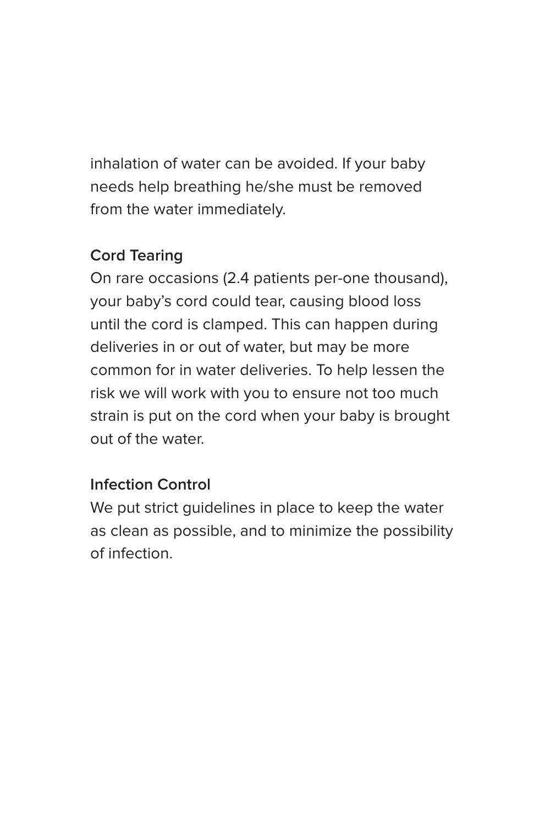inhalation of water can be avoided. If your baby needs help breathing he/she must be removed from the water immediately.

### **Cord Tearing**

On rare occasions (2.4 patients per-one thousand), your baby's cord could tear, causing blood loss until the cord is clamped. This can happen during deliveries in or out of water, but may be more common for in water deliveries. To help lessen the risk we will work with you to ensure not too much strain is put on the cord when your baby is brought out of the water.

#### **Infection Control**

We put strict guidelines in place to keep the water as clean as possible, and to minimize the possibility of infection.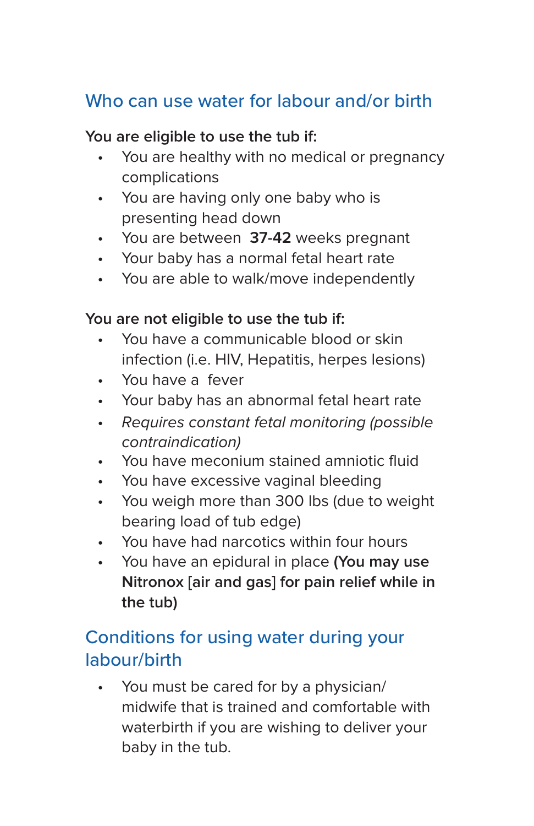# Who can use water for labour and/or birth

#### **You are eligible to use the tub if:**

- You are healthy with no medical or pregnancy complications
- You are having only one baby who is presenting head down
- You are between **37-42** weeks pregnant
- Your baby has a normal fetal heart rate
- You are able to walk/move independently

#### **You are not eligible to use the tub if:**

- You have a communicable blood or skin infection (i.e. HIV, Hepatitis, herpes lesions)
- You have a fever
- Your baby has an abnormal fetal heart rate
- Requires constant fetal monitoring (possible contraindication)
- You have meconium stained amniotic fluid
- You have excessive vaginal bleeding
- You weigh more than 300 lbs (due to weight bearing load of tub edge)
- You have had narcotics within four hours
- You have an epidural in place **(You may use Nitronox [air and gas] for pain relief while in the tub)**

## Conditions for using water during your labour/birth

You must be cared for by a physician/ midwife that is trained and comfortable with waterbirth if you are wishing to deliver your baby in the tub.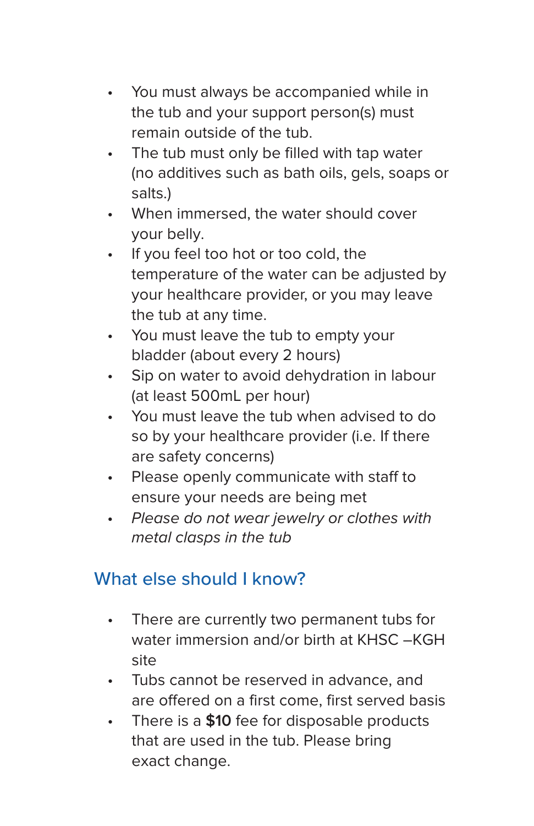- You must always be accompanied while in the tub and your support person(s) must remain outside of the tub.
- The tub must only be filled with tap water (no additives such as bath oils, gels, soaps or salts.)
- When immersed, the water should cover your belly.
- If you feel too hot or too cold, the temperature of the water can be adjusted by your healthcare provider, or you may leave the tub at any time.
- You must leave the tub to empty your bladder (about every 2 hours)
- Sip on water to avoid dehydration in labour (at least 500mL per hour)
- You must leave the tub when advised to do so by your healthcare provider (i.e. If there are safety concerns)
- Please openly communicate with staff to ensure your needs are being met
- Please do not wear jewelry or clothes with metal clasps in the tub

# What else should I know?

- There are currently two permanent tubs for water immersion and/or birth at KHSC –KGH site
- Tubs cannot be reserved in advance, and are offered on a first come, first served basis
- There is a **\$10** fee for disposable products that are used in the tub. Please bring exact change.